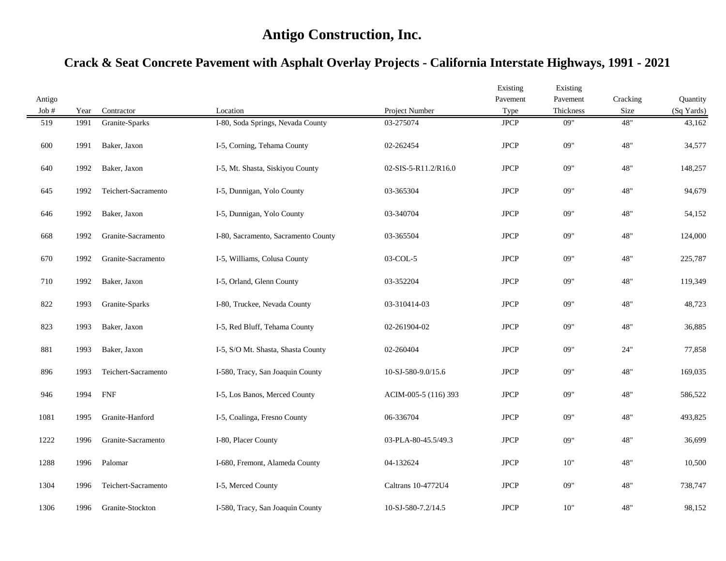| Antigo  |      |                     |                                     |                      | Existing<br>Pavement | Existing<br>Pavement | Cracking | Quantity   |
|---------|------|---------------------|-------------------------------------|----------------------|----------------------|----------------------|----------|------------|
| Job $#$ | Year | Contractor          | Location                            | Project Number       | Type                 | Thickness            | Size     | (Sq Yards) |
| 519     | 1991 | Granite-Sparks      | I-80, Soda Springs, Nevada County   | 03-275074            | <b>JPCP</b>          | 09"                  | 48"      | 43,162     |
| 600     | 1991 | Baker, Jaxon        | I-5, Corning, Tehama County         | 02-262454            | <b>JPCP</b>          | 09"                  | 48"      | 34,577     |
| 640     | 1992 | Baker, Jaxon        | I-5, Mt. Shasta, Siskiyou County    | 02-SIS-5-R11.2/R16.0 | <b>JPCP</b>          | 09"                  | 48"      | 148,257    |
| 645     | 1992 | Teichert-Sacramento | I-5, Dunnigan, Yolo County          | 03-365304            | <b>JPCP</b>          | 09"                  | 48"      | 94,679     |
| 646     | 1992 | Baker, Jaxon        | I-5, Dunnigan, Yolo County          | 03-340704            | <b>JPCP</b>          | 09"                  | 48"      | 54,152     |
| 668     | 1992 | Granite-Sacramento  | I-80, Sacramento, Sacramento County | 03-365504            | $_{\rm JPCP}$        | 09"                  | 48"      | 124,000    |
| 670     | 1992 | Granite-Sacramento  | I-5, Williams, Colusa County        | 03-COL-5             | $_{\rm JPCP}$        | 09"                  | 48"      | 225,787    |
| 710     | 1992 | Baker, Jaxon        | I-5, Orland, Glenn County           | 03-352204            | <b>JPCP</b>          | 09"                  | 48"      | 119,349    |
| 822     | 1993 | Granite-Sparks      | I-80, Truckee, Nevada County        | 03-310414-03         | <b>JPCP</b>          | 09"                  | 48"      | 48,723     |
| 823     | 1993 | Baker, Jaxon        | I-5, Red Bluff, Tehama County       | 02-261904-02         | <b>JPCP</b>          | 09"                  | 48"      | 36,885     |
| 881     | 1993 | Baker, Jaxon        | I-5, S/O Mt. Shasta, Shasta County  | 02-260404            | <b>JPCP</b>          | 09"                  | 24"      | 77,858     |
| 896     | 1993 | Teichert-Sacramento | I-580, Tracy, San Joaquin County    | 10-SJ-580-9.0/15.6   | <b>JPCP</b>          | 09"                  | 48"      | 169,035    |
| 946     | 1994 | <b>FNF</b>          | I-5, Los Banos, Merced County       | ACIM-005-5 (116) 393 | <b>JPCP</b>          | 09"                  | 48"      | 586,522    |
| 1081    | 1995 | Granite-Hanford     | I-5, Coalinga, Fresno County        | 06-336704            | <b>JPCP</b>          | 09"                  | 48"      | 493,825    |
| 1222    | 1996 | Granite-Sacramento  | I-80, Placer County                 | 03-PLA-80-45.5/49.3  | <b>JPCP</b>          | 09"                  | 48"      | 36,699     |
| 1288    | 1996 | Palomar             | I-680, Fremont, Alameda County      | 04-132624            | <b>JPCP</b>          | 10"                  | 48"      | 10,500     |
| 1304    | 1996 | Teichert-Sacramento | I-5, Merced County                  | Caltrans 10-4772U4   | <b>JPCP</b>          | 09"                  | 48"      | 738,747    |
| 1306    | 1996 | Granite-Stockton    | I-580, Tracy, San Joaquin County    | 10-SJ-580-7.2/14.5   | <b>JPCP</b>          | 10"                  | 48"      | 98,152     |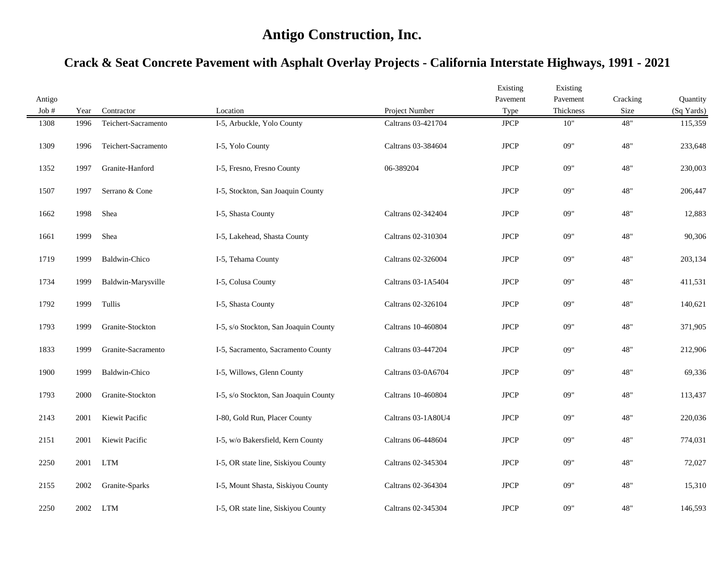| Antigo  |      |                      |                                       |                    | Existing<br>Pavement | Existing<br>Pavement | Cracking | Quantity   |
|---------|------|----------------------|---------------------------------------|--------------------|----------------------|----------------------|----------|------------|
| Job $#$ | Year | Contractor           | Location                              | Project Number     | Type                 | Thickness            | Size     | (Sq Yards) |
| 1308    | 1996 | Teichert-Sacramento  | I-5, Arbuckle, Yolo County            | Caltrans 03-421704 | $_{\rm JPCP}$        | 10"                  | 48"      | 115,359    |
| 1309    | 1996 | Teichert-Sacramento  | I-5, Yolo County                      | Caltrans 03-384604 | <b>JPCP</b>          | 09"                  | 48"      | 233,648    |
| 1352    | 1997 | Granite-Hanford      | I-5, Fresno, Fresno County            | 06-389204          | <b>JPCP</b>          | 09"                  | 48"      | 230,003    |
| 1507    | 1997 | Serrano & Cone       | I-5, Stockton, San Joaquin County     |                    | <b>JPCP</b>          | 09"                  | 48"      | 206,447    |
| 1662    | 1998 | Shea                 | I-5, Shasta County                    | Caltrans 02-342404 | <b>JPCP</b>          | 09"                  | 48"      | 12,883     |
| 1661    | 1999 | Shea                 | I-5, Lakehead, Shasta County          | Caltrans 02-310304 | <b>JPCP</b>          | 09"                  | 48"      | 90,306     |
| 1719    | 1999 | Baldwin-Chico        | I-5, Tehama County                    | Caltrans 02-326004 | $_{\rm JPCP}$        | 09"                  | 48"      | 203,134    |
| 1734    | 1999 | Baldwin-Marysville   | I-5, Colusa County                    | Caltrans 03-1A5404 | <b>JPCP</b>          | 09"                  | 48"      | 411,531    |
| 1792    | 1999 | Tullis               | I-5, Shasta County                    | Caltrans 02-326104 | <b>JPCP</b>          | 09"                  | 48"      | 140,621    |
| 1793    | 1999 | Granite-Stockton     | I-5, s/o Stockton, San Joaquin County | Caltrans 10-460804 | <b>JPCP</b>          | 09"                  | 48"      | 371,905    |
| 1833    | 1999 | Granite-Sacramento   | I-5, Sacramento, Sacramento County    | Caltrans 03-447204 | <b>JPCP</b>          | 09"                  | 48"      | 212,906    |
| 1900    | 1999 | <b>Baldwin-Chico</b> | I-5, Willows, Glenn County            | Caltrans 03-0A6704 | <b>JPCP</b>          | 09"                  | 48"      | 69,336     |
| 1793    | 2000 | Granite-Stockton     | I-5, s/o Stockton, San Joaquin County | Caltrans 10-460804 | <b>JPCP</b>          | 09"                  | 48"      | 113,437    |
| 2143    | 2001 | Kiewit Pacific       | I-80, Gold Run, Placer County         | Caltrans 03-1A80U4 | <b>JPCP</b>          | 09"                  | 48"      | 220,036    |
| 2151    | 2001 | Kiewit Pacific       | I-5, w/o Bakersfield, Kern County     | Caltrans 06-448604 | <b>JPCP</b>          | 09"                  | 48"      | 774,031    |
| 2250    | 2001 | <b>LTM</b>           | I-5, OR state line, Siskiyou County   | Caltrans 02-345304 | <b>JPCP</b>          | 09"                  | 48"      | 72,027     |
| 2155    | 2002 | Granite-Sparks       | I-5, Mount Shasta, Siskiyou County    | Caltrans 02-364304 | <b>JPCP</b>          | 09"                  | 48"      | 15,310     |
| 2250    | 2002 | LTM                  | I-5, OR state line, Siskiyou County   | Caltrans 02-345304 | <b>JPCP</b>          | 09"                  | 48"      | 146,593    |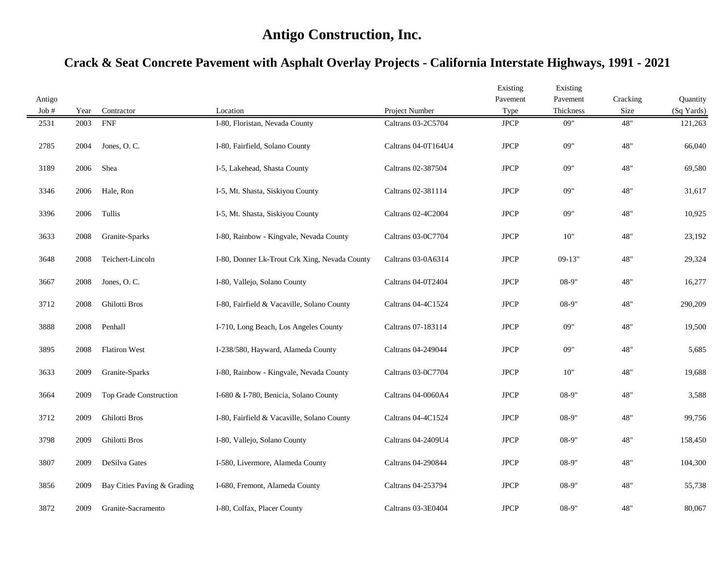| Antigo |      |                             |                                               |                     | Existing<br>Pavement | Existing<br>Pavement | Cracking | Quantity   |
|--------|------|-----------------------------|-----------------------------------------------|---------------------|----------------------|----------------------|----------|------------|
| Job #  | Year | Contractor                  | Location                                      | Project Number      | Type                 | Thickness            | Size     | (Sq Yards) |
| 2531   | 2003 | <b>FNF</b>                  | I-80, Floristan, Nevada County                | Caltrans 03-2C5704  | $_{\rm JPCP}$        | 09"                  | 48"      | 121,263    |
| 2785   | 2004 | Jones, O.C.                 | I-80, Fairfield, Solano County                | Caltrans 04-0T164U4 | $_{\rm JPCP}$        | 09"                  | 48"      | 66,040     |
| 3189   | 2006 | Shea                        | I-5, Lakehead, Shasta County                  | Caltrans 02-387504  | $_{\rm JPCP}$        | 09"                  | 48"      | 69,580     |
| 3346   | 2006 | Hale, Ron                   | I-5, Mt. Shasta, Siskiyou County              | Caltrans 02-381114  | <b>JPCP</b>          | 09"                  | 48"      | 31,617     |
| 3396   | 2006 | Tullis                      | I-5, Mt. Shasta, Siskiyou County              | Caltrans 02-4C2004  | <b>JPCP</b>          | 09"                  | 48"      | 10,925     |
| 3633   | 2008 | Granite-Sparks              | I-80, Rainbow - Kingvale, Nevada County       | Caltrans 03-0C7704  | <b>JPCP</b>          | 10"                  | 48"      | 23,192     |
| 3648   | 2008 | Teichert-Lincoln            | I-80, Donner Lk-Trout Crk Xing, Nevada County | Caltrans 03-0A6314  | $_{\rm JPCP}$        | $09-13"$             | 48"      | 29,324     |
| 3667   | 2008 | Jones, O.C.                 | I-80, Vallejo, Solano County                  | Caltrans 04-0T2404  | <b>JPCP</b>          | $08-9"$              | 48"      | 16,277     |
| 3712   | 2008 | Ghilotti Bros               | I-80, Fairfield & Vacaville, Solano County    | Caltrans 04-4C1524  | $_{\rm JPCP}$        | $08-9"$              | 48"      | 290,209    |
| 3888   | 2008 | Penhall                     | I-710, Long Beach, Los Angeles County         | Caltrans 07-183114  | <b>JPCP</b>          | 09"                  | 48"      | 19,500     |
| 3895   | 2008 | <b>Flatiron West</b>        | I-238/580, Hayward, Alameda County            | Caltrans 04-249044  | <b>JPCP</b>          | 09"                  | 48"      | 5,685      |
| 3633   | 2009 | Granite-Sparks              | I-80, Rainbow - Kingvale, Nevada County       | Caltrans 03-0C7704  | <b>JPCP</b>          | $10"$                | 48"      | 19,688     |
| 3664   | 2009 | Top Grade Construction      | I-680 & I-780, Benicia, Solano County         | Caltrans 04-0060A4  | <b>JPCP</b>          | $08-9"$              | 48"      | 3,588      |
| 3712   | 2009 | Ghilotti Bros               | I-80, Fairfield & Vacaville, Solano County    | Caltrans 04-4C1524  | <b>JPCP</b>          | $08-9"$              | 48"      | 99,756     |
| 3798   | 2009 | Ghilotti Bros               | I-80, Vallejo, Solano County                  | Caltrans 04-2409U4  | <b>JPCP</b>          | $08-9"$              | 48"      | 158,450    |
| 3807   | 2009 | DeSilva Gates               | I-580, Livermore, Alameda County              | Caltrans 04-290844  | <b>JPCP</b>          | $08-9"$              | 48"      | 104,300    |
| 3856   | 2009 | Bay Cities Paving & Grading | I-680, Fremont, Alameda County                | Caltrans 04-253794  | $_{\rm JPCP}$        | $08-9"$              | 48"      | 55,738     |
| 3872   | 2009 | Granite-Sacramento          | I-80, Colfax, Placer County                   | Caltrans 03-3E0404  | <b>JPCP</b>          | $08-9"$              | 48"      | 80,067     |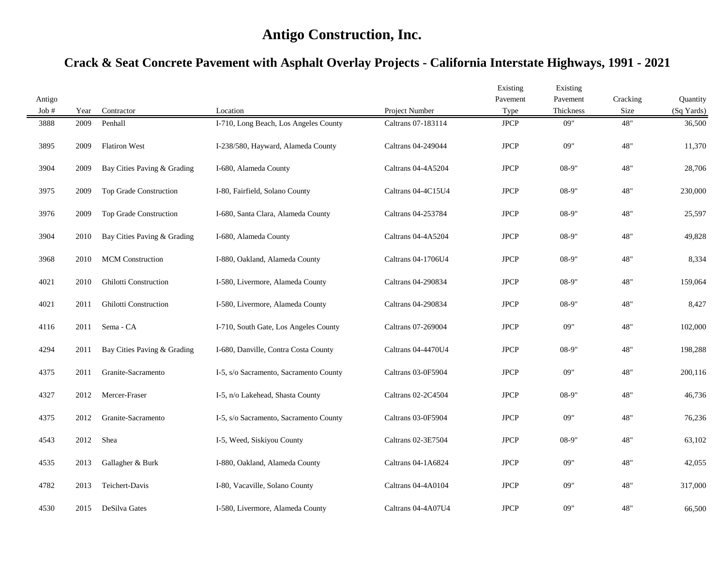| Antigo |      |                              |                                        |                    | Existing<br>Pavement | Existing<br>Pavement | Cracking | Quantity   |
|--------|------|------------------------------|----------------------------------------|--------------------|----------------------|----------------------|----------|------------|
| Job #  | Year | Contractor                   | Location                               | Project Number     | Type                 | Thickness            | Size     | (Sq Yards) |
| 3888   | 2009 | Penhall                      | I-710, Long Beach, Los Angeles County  | Caltrans 07-183114 | <b>JPCP</b>          | 09"                  | 48"      | 36,500     |
| 3895   | 2009 | <b>Flatiron West</b>         | I-238/580, Hayward, Alameda County     | Caltrans 04-249044 | <b>JPCP</b>          | 09"                  | 48"      | 11,370     |
| 3904   | 2009 | Bay Cities Paving & Grading  | I-680, Alameda County                  | Caltrans 04-4A5204 | <b>JPCP</b>          | $08-9"$              | 48"      | 28,706     |
| 3975   | 2009 | Top Grade Construction       | I-80, Fairfield, Solano County         | Caltrans 04-4C15U4 | <b>JPCP</b>          | $08-9"$              | 48"      | 230,000    |
| 3976   | 2009 | Top Grade Construction       | I-680, Santa Clara, Alameda County     | Caltrans 04-253784 | <b>JPCP</b>          | $08-9"$              | 48"      | 25,597     |
| 3904   | 2010 | Bay Cities Paving & Grading  | I-680, Alameda County                  | Caltrans 04-4A5204 | <b>JPCP</b>          | 08-9"                | 48"      | 49,828     |
| 3968   | 2010 | <b>MCM</b> Construction      | I-880, Oakland, Alameda County         | Caltrans 04-1706U4 | <b>JPCP</b>          | $08-9"$              | 48"      | 8,334      |
| 4021   | 2010 | <b>Ghilotti Construction</b> | I-580, Livermore, Alameda County       | Caltrans 04-290834 | <b>JPCP</b>          | 08-9"                | 48"      | 159,064    |
| 4021   | 2011 | Ghilotti Construction        | I-580, Livermore, Alameda County       | Caltrans 04-290834 | <b>JPCP</b>          | 08-9"                | 48"      | 8,427      |
| 4116   | 2011 | Sema - CA                    | I-710, South Gate, Los Angeles County  | Caltrans 07-269004 | <b>JPCP</b>          | 09"                  | 48"      | 102,000    |
| 4294   | 2011 | Bay Cities Paving & Grading  | I-680, Danville, Contra Costa County   | Caltrans 04-4470U4 | <b>JPCP</b>          | $08-9"$              | 48"      | 198,288    |
| 4375   | 2011 | Granite-Sacramento           | I-5, s/o Sacramento, Sacramento County | Caltrans 03-0F5904 | <b>JPCP</b>          | 09"                  | 48"      | 200,116    |
| 4327   | 2012 | Mercer-Fraser                | I-5, n/o Lakehead, Shasta County       | Caltrans 02-2C4504 | $_{\rm JPCP}$        | $08-9"$              | 48"      | 46,736     |
| 4375   | 2012 | Granite-Sacramento           | I-5, s/o Sacramento, Sacramento County | Caltrans 03-0F5904 | <b>JPCP</b>          | 09"                  | 48"      | 76,236     |
| 4543   | 2012 | Shea                         | I-5, Weed, Siskiyou County             | Caltrans 02-3E7504 | <b>JPCP</b>          | $08-9"$              | 48"      | 63,102     |
| 4535   | 2013 | Gallagher & Burk             | I-880, Oakland, Alameda County         | Caltrans 04-1A6824 | <b>JPCP</b>          | 09"                  | 48"      | 42,055     |
| 4782   | 2013 | Teichert-Davis               | I-80, Vacaville, Solano County         | Caltrans 04-4A0104 | <b>JPCP</b>          | 09"                  | 48"      | 317,000    |
| 4530   | 2015 | DeSilva Gates                | I-580, Livermore, Alameda County       | Caltrans 04-4A07U4 | <b>JPCP</b>          | 09"                  | 48"      | 66,500     |